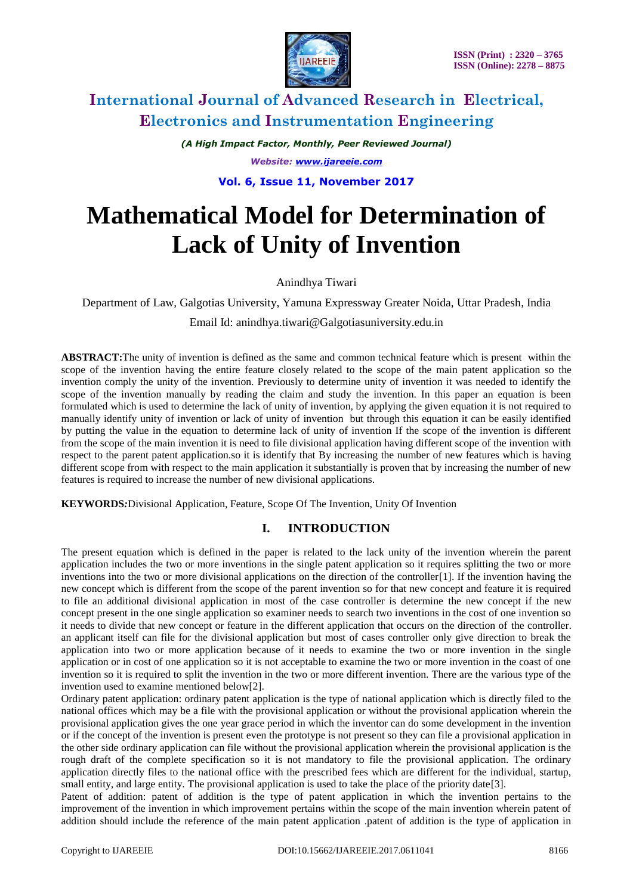

*(A High Impact Factor, Monthly, Peer Reviewed Journal) Website: [www.ijareeie.com](http://www.ijareeie.com/)*

**Vol. 6, Issue 11, November 2017**

# **Mathematical Model for Determination of Lack of Unity of Invention**

Anindhya Tiwari

Department of Law, Galgotias University, Yamuna Expressway Greater Noida, Uttar Pradesh, India

Email Id: anindhya.tiwari@Galgotiasuniversity.edu.in

**ABSTRACT:**The unity of invention is defined as the same and common technical feature which is present within the scope of the invention having the entire feature closely related to the scope of the main patent application so the invention comply the unity of the invention. Previously to determine unity of invention it was needed to identify the scope of the invention manually by reading the claim and study the invention. In this paper an equation is been formulated which is used to determine the lack of unity of invention, by applying the given equation it is not required to manually identify unity of invention or lack of unity of invention but through this equation it can be easily identified by putting the value in the equation to determine lack of unity of invention If the scope of the invention is different from the scope of the main invention it is need to file divisional application having different scope of the invention with respect to the parent patent application.so it is identify that By increasing the number of new features which is having different scope from with respect to the main application it substantially is proven that by increasing the number of new features is required to increase the number of new divisional applications.

**KEYWORDS***:*Divisional Application, Feature, Scope Of The Invention, Unity Of Invention

## **I. INTRODUCTION**

The present equation which is defined in the paper is related to the lack unity of the invention wherein the parent application includes the two or more inventions in the single patent application so it requires splitting the two or more inventions into the two or more divisional applications on the direction of the controller[1]. If the invention having the new concept which is different from the scope of the parent invention so for that new concept and feature it is required to file an additional divisional application in most of the case controller is determine the new concept if the new concept present in the one single application so examiner needs to search two inventions in the cost of one invention so it needs to divide that new concept or feature in the different application that occurs on the direction of the controller. an applicant itself can file for the divisional application but most of cases controller only give direction to break the application into two or more application because of it needs to examine the two or more invention in the single application or in cost of one application so it is not acceptable to examine the two or more invention in the coast of one invention so it is required to split the invention in the two or more different invention. There are the various type of the invention used to examine mentioned below[2].

Ordinary patent application: ordinary patent application is the type of national application which is directly filed to the national offices which may be a file with the provisional application or without the provisional application wherein the provisional application gives the one year grace period in which the inventor can do some development in the invention or if the concept of the invention is present even the prototype is not present so they can file a provisional application in the other side ordinary application can file without the provisional application wherein the provisional application is the rough draft of the complete specification so it is not mandatory to file the provisional application. The ordinary application directly files to the national office with the prescribed fees which are different for the individual, startup, small entity, and large entity. The provisional application is used to take the place of the priority date<sup>[3]</sup>.

Patent of addition: patent of addition is the type of patent application in which the invention pertains to the improvement of the invention in which improvement pertains within the scope of the main invention wherein patent of addition should include the reference of the main patent application .patent of addition is the type of application in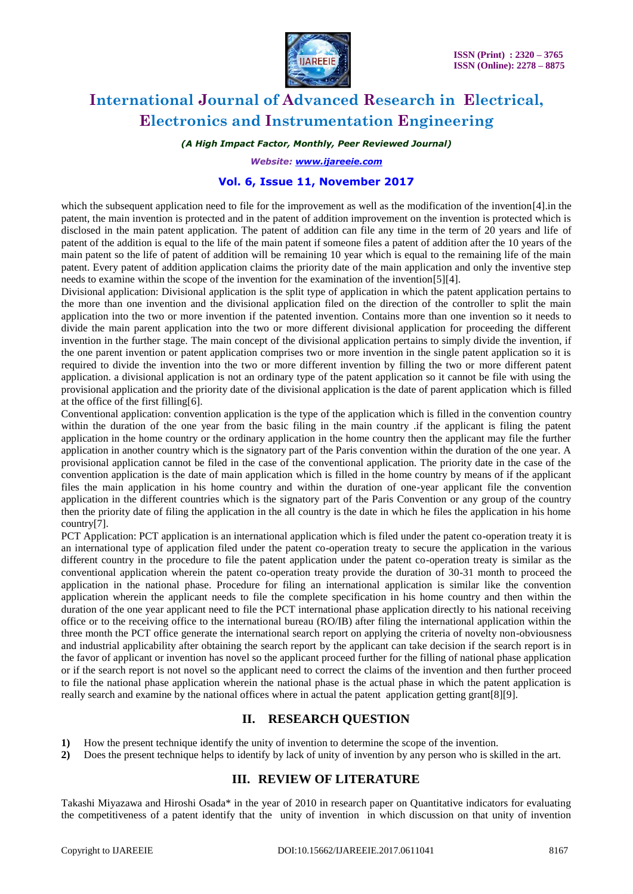

#### *(A High Impact Factor, Monthly, Peer Reviewed Journal)*

#### *Website: [www.ijareeie.com](http://www.ijareeie.com/)*

#### **Vol. 6, Issue 11, November 2017**

which the subsequent application need to file for the improvement as well as the modification of the invention[4].in the patent, the main invention is protected and in the patent of addition improvement on the invention is protected which is disclosed in the main patent application. The patent of addition can file any time in the term of 20 years and life of patent of the addition is equal to the life of the main patent if someone files a patent of addition after the 10 years of the main patent so the life of patent of addition will be remaining 10 year which is equal to the remaining life of the main patent. Every patent of addition application claims the priority date of the main application and only the inventive step needs to examine within the scope of the invention for the examination of the invention[5][4].

Divisional application: Divisional application is the split type of application in which the patent application pertains to the more than one invention and the divisional application filed on the direction of the controller to split the main application into the two or more invention if the patented invention. Contains more than one invention so it needs to divide the main parent application into the two or more different divisional application for proceeding the different invention in the further stage. The main concept of the divisional application pertains to simply divide the invention, if the one parent invention or patent application comprises two or more invention in the single patent application so it is required to divide the invention into the two or more different invention by filling the two or more different patent application. a divisional application is not an ordinary type of the patent application so it cannot be file with using the provisional application and the priority date of the divisional application is the date of parent application which is filled at the office of the first filling[6].

Conventional application: convention application is the type of the application which is filled in the convention country within the duration of the one year from the basic filing in the main country .if the applicant is filing the patent application in the home country or the ordinary application in the home country then the applicant may file the further application in another country which is the signatory part of the Paris convention within the duration of the one year. A provisional application cannot be filed in the case of the conventional application. The priority date in the case of the convention application is the date of main application which is filled in the home country by means of if the applicant files the main application in his home country and within the duration of one-year applicant file the convention application in the different countries which is the signatory part of the Paris Convention or any group of the country then the priority date of filing the application in the all country is the date in which he files the application in his home country[7].

PCT Application: PCT application is an international application which is filed under the patent co-operation treaty it is an international type of application filed under the patent co-operation treaty to secure the application in the various different country in the procedure to file the patent application under the patent co-operation treaty is similar as the conventional application wherein the patent co-operation treaty provide the duration of 30-31 month to proceed the application in the national phase. Procedure for filing an international application is similar like the convention application wherein the applicant needs to file the complete specification in his home country and then within the duration of the one year applicant need to file the PCT international phase application directly to his national receiving office or to the receiving office to the international bureau (RO/IB) after filing the international application within the three month the PCT office generate the international search report on applying the criteria of novelty non-obviousness and industrial applicability after obtaining the search report by the applicant can take decision if the search report is in the favor of applicant or invention has novel so the applicant proceed further for the filling of national phase application or if the search report is not novel so the applicant need to correct the claims of the invention and then further proceed to file the national phase application wherein the national phase is the actual phase in which the patent application is really search and examine by the national offices where in actual the patent application getting grant[8][9].

### **II. RESEARCH QUESTION**

- **1)** How the present technique identify the unity of invention to determine the scope of the invention.
- **2)** Does the present technique helps to identify by lack of unity of invention by any person who is skilled in the art.

### **III. REVIEW OF LITERATURE**

Takashi Miyazawa and Hiroshi Osada\* in the year of 2010 in research paper on Quantitative indicators for evaluating the competitiveness of a patent identify that the unity of invention in which discussion on that unity of invention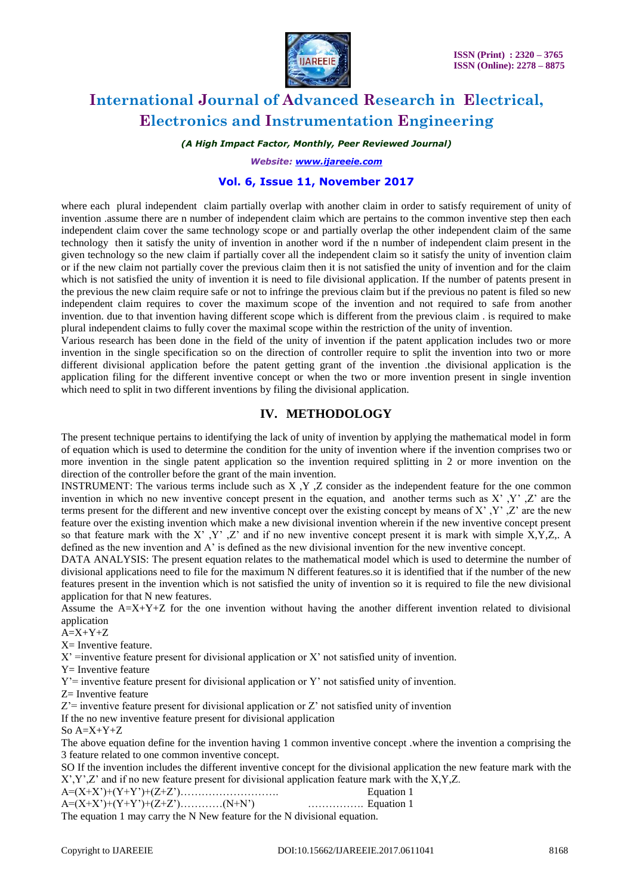

*(A High Impact Factor, Monthly, Peer Reviewed Journal)*

*Website: [www.ijareeie.com](http://www.ijareeie.com/)*

### **Vol. 6, Issue 11, November 2017**

where each plural independent claim partially overlap with another claim in order to satisfy requirement of unity of invention .assume there are n number of independent claim which are pertains to the common inventive step then each independent claim cover the same technology scope or and partially overlap the other independent claim of the same technology then it satisfy the unity of invention in another word if the n number of independent claim present in the given technology so the new claim if partially cover all the independent claim so it satisfy the unity of invention claim or if the new claim not partially cover the previous claim then it is not satisfied the unity of invention and for the claim which is not satisfied the unity of invention it is need to file divisional application. If the number of patents present in the previous the new claim require safe or not to infringe the previous claim but if the previous no patent is filed so new independent claim requires to cover the maximum scope of the invention and not required to safe from another invention. due to that invention having different scope which is different from the previous claim . is required to make plural independent claims to fully cover the maximal scope within the restriction of the unity of invention.

Various research has been done in the field of the unity of invention if the patent application includes two or more invention in the single specification so on the direction of controller require to split the invention into two or more different divisional application before the patent getting grant of the invention .the divisional application is the application filing for the different inventive concept or when the two or more invention present in single invention which need to split in two different inventions by filing the divisional application.

### **IV. METHODOLOGY**

The present technique pertains to identifying the lack of unity of invention by applying the mathematical model in form of equation which is used to determine the condition for the unity of invention where if the invention comprises two or more invention in the single patent application so the invention required splitting in 2 or more invention on the direction of the controller before the grant of the main invention.

INSTRUMENT: The various terms include such as X ,Y ,Z consider as the independent feature for the one common invention in which no new inventive concept present in the equation, and another terms such as  $X'$ ,  $Y'$ ,  $Z'$  are the terms present for the different and new inventive concept over the existing concept by means of X' ,Y' ,Z' are the new feature over the existing invention which make a new divisional invention wherein if the new inventive concept present so that feature mark with the X', Y', Z' and if no new inventive concept present it is mark with simple X,Y,Z,. A defined as the new invention and A' is defined as the new divisional invention for the new inventive concept.

DATA ANALYSIS: The present equation relates to the mathematical model which is used to determine the number of divisional applications need to file for the maximum N different features.so it is identified that if the number of the new features present in the invention which is not satisfied the unity of invention so it is required to file the new divisional application for that N new features.

Assume the A=X+Y+Z for the one invention without having the another different invention related to divisional application

 $A=X+Y+Z$ 

 $X=$  Inventive feature.

 $X'$  =inventive feature present for divisional application or  $X'$  not satisfied unity of invention.

Y= Inventive feature

 $Y'$ = inventive feature present for divisional application or Y' not satisfied unity of invention.

Z= Inventive feature

 $Z'$ = inventive feature present for divisional application or  $Z'$  not satisfied unity of invention

If the no new inventive feature present for divisional application

So A=X+Y+Z

The above equation define for the invention having 1 common inventive concept .where the invention a comprising the 3 feature related to one common inventive concept.

SO If the invention includes the different inventive concept for the divisional application the new feature mark with the X',Y',Z' and if no new feature present for divisional application feature mark with the X,Y,Z.

|                                          | Equation 1          |
|------------------------------------------|---------------------|
| $A=(X+X^*)+(Y+Y^*)+(Z+Z^*)\dots( N+N^*)$ | $\ldots$ Equation 1 |

The equation 1 may carry the N New feature for the N divisional equation.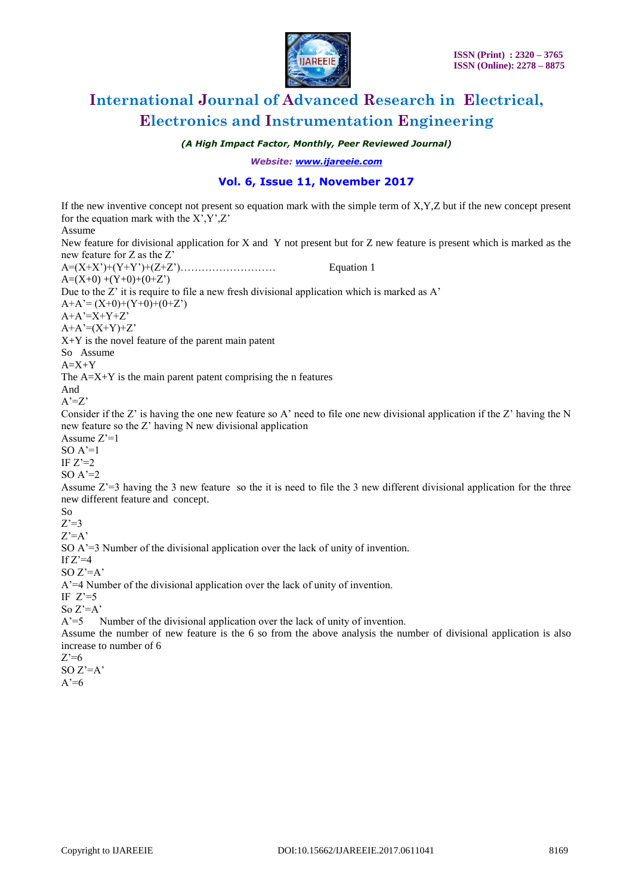

*(A High Impact Factor, Monthly, Peer Reviewed Journal)*

*Website: [www.ijareeie.com](http://www.ijareeie.com/)*

### **Vol. 6, Issue 11, November 2017**

If the new inventive concept not present so equation mark with the simple term of X,Y,Z but if the new concept present for the equation mark with the  $X^{\prime}, Y^{\prime}, Z^{\prime}$ Assume New feature for divisional application for X and Y not present but for Z new feature is present which is marked as the new feature for Z as the Z' A=(X+X')+(Y+Y')+(Z+Z')……………………… Equation 1  $A=(X+0)+(Y+0)+(0+Z')$ Due to the Z' it is require to file a new fresh divisional application which is marked as A'  $A+A'=(X+0)+(Y+0)+(0+Z')$  $A+A'=X+Y+Z'$  $A+A'=(X+Y)+Z'$ X+Y is the novel feature of the parent main patent So Assume  $A=X+Y$ The  $A=X+Y$  is the main parent patent comprising the n features And  $A'=Z'$ Consider if the Z' is having the one new feature so A' need to file one new divisional application if the Z' having the N new feature so the Z' having N new divisional application Assume Z'=1  $SO A'=1$ IF  $Z'=2$ SO  $A'=2$ Assume Z'=3 having the 3 new feature so the it is need to file the 3 new different divisional application for the three new different feature and concept. So  $Z'=3$  $Z'=A'$ SO A'=3 Number of the divisional application over the lack of unity of invention. If  $Z'=4$ SO  $Z'=A'$ A'=4 Number of the divisional application over the lack of unity of invention. IF  $Z'=5$ So Z'=A' A'=5 Number of the divisional application over the lack of unity of invention. Assume the number of new feature is the 6 so from the above analysis the number of divisional application is also increase to number of 6  $Z'=6$ 

SO  $Z'=A'$  $A'=6$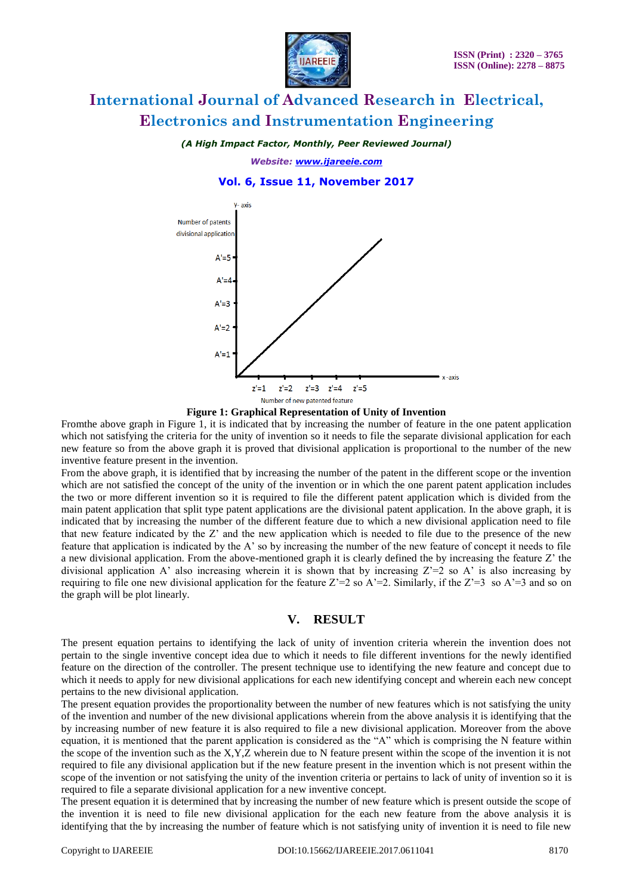

*(A High Impact Factor, Monthly, Peer Reviewed Journal)*

*Website: [www.ijareeie.com](http://www.ijareeie.com/)*

#### **Vol. 6, Issue 11, November 2017**





Fromthe above graph in Figure 1, it is indicated that by increasing the number of feature in the one patent application which not satisfying the criteria for the unity of invention so it needs to file the separate divisional application for each new feature so from the above graph it is proved that divisional application is proportional to the number of the new inventive feature present in the invention.

From the above graph, it is identified that by increasing the number of the patent in the different scope or the invention which are not satisfied the concept of the unity of the invention or in which the one parent patent application includes the two or more different invention so it is required to file the different patent application which is divided from the main patent application that split type patent applications are the divisional patent application. In the above graph, it is indicated that by increasing the number of the different feature due to which a new divisional application need to file that new feature indicated by the Z' and the new application which is needed to file due to the presence of the new feature that application is indicated by the A' so by increasing the number of the new feature of concept it needs to file a new divisional application. From the above-mentioned graph it is clearly defined the by increasing the feature Z' the divisional application A' also increasing wherein it is shown that by increasing  $Z=2$  so A' is also increasing by requiring to file one new divisional application for the feature  $Z=2$  so  $A'=2$ . Similarly, if the  $Z'=3$  so  $A'=3$  and so on the graph will be plot linearly.

### **V. RESULT**

The present equation pertains to identifying the lack of unity of invention criteria wherein the invention does not pertain to the single inventive concept idea due to which it needs to file different inventions for the newly identified feature on the direction of the controller. The present technique use to identifying the new feature and concept due to which it needs to apply for new divisional applications for each new identifying concept and wherein each new concept pertains to the new divisional application.

The present equation provides the proportionality between the number of new features which is not satisfying the unity of the invention and number of the new divisional applications wherein from the above analysis it is identifying that the by increasing number of new feature it is also required to file a new divisional application. Moreover from the above equation, it is mentioned that the parent application is considered as the "A" which is comprising the N feature within the scope of the invention such as the  $X, Y, Z$  wherein due to N feature present within the scope of the invention it is not required to file any divisional application but if the new feature present in the invention which is not present within the scope of the invention or not satisfying the unity of the invention criteria or pertains to lack of unity of invention so it is required to file a separate divisional application for a new inventive concept.

The present equation it is determined that by increasing the number of new feature which is present outside the scope of the invention it is need to file new divisional application for the each new feature from the above analysis it is identifying that the by increasing the number of feature which is not satisfying unity of invention it is need to file new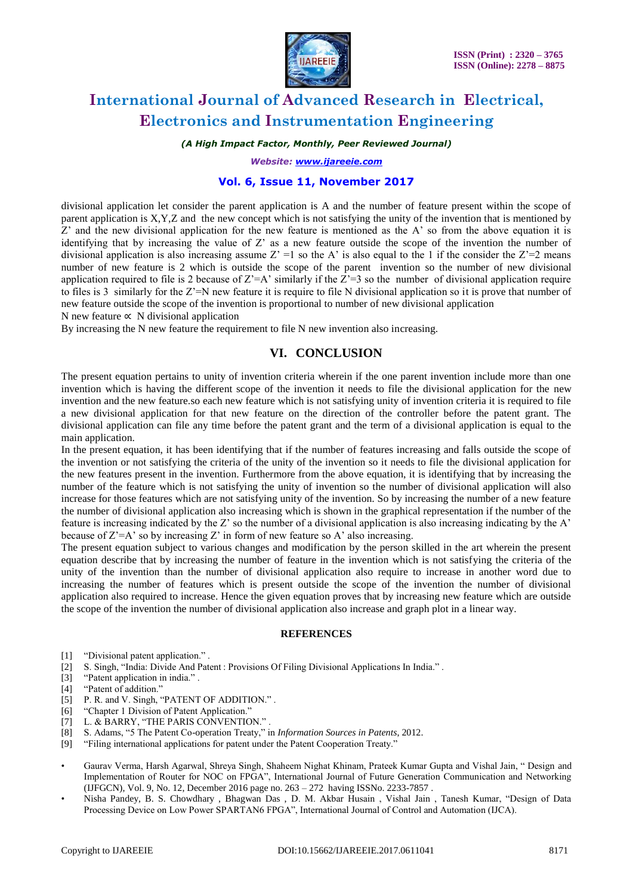

#### *(A High Impact Factor, Monthly, Peer Reviewed Journal)*

*Website: [www.ijareeie.com](http://www.ijareeie.com/)*

#### **Vol. 6, Issue 11, November 2017**

divisional application let consider the parent application is A and the number of feature present within the scope of parent application is X,Y,Z and the new concept which is not satisfying the unity of the invention that is mentioned by  $Z'$  and the new divisional application for the new feature is mentioned as the A' so from the above equation it is identifying that by increasing the value of Z' as a new feature outside the scope of the invention the number of divisional application is also increasing assume  $Z' = 1$  so the A' is also equal to the 1 if the consider the  $Z' = 2$  means number of new feature is 2 which is outside the scope of the parent invention so the number of new divisional application required to file is 2 because of  $Z= A'$  similarly if the  $Z'=3$  so the number of divisional application require to files is 3 similarly for the  $Z^{\prime}$ =N new feature it is require to file N divisional application so it is prove that number of new feature outside the scope of the invention is proportional to number of new divisional application

N new feature  $\propto$  N divisional application

By increasing the N new feature the requirement to file N new invention also increasing.

### **VI. CONCLUSION**

The present equation pertains to unity of invention criteria wherein if the one parent invention include more than one invention which is having the different scope of the invention it needs to file the divisional application for the new invention and the new feature.so each new feature which is not satisfying unity of invention criteria it is required to file a new divisional application for that new feature on the direction of the controller before the patent grant. The divisional application can file any time before the patent grant and the term of a divisional application is equal to the main application.

In the present equation, it has been identifying that if the number of features increasing and falls outside the scope of the invention or not satisfying the criteria of the unity of the invention so it needs to file the divisional application for the new features present in the invention. Furthermore from the above equation, it is identifying that by increasing the number of the feature which is not satisfying the unity of invention so the number of divisional application will also increase for those features which are not satisfying unity of the invention. So by increasing the number of a new feature the number of divisional application also increasing which is shown in the graphical representation if the number of the feature is increasing indicated by the Z' so the number of a divisional application is also increasing indicating by the A' because of  $Z'=A'$  so by increasing  $Z'$  in form of new feature so A' also increasing.

The present equation subject to various changes and modification by the person skilled in the art wherein the present equation describe that by increasing the number of feature in the invention which is not satisfying the criteria of the unity of the invention than the number of divisional application also require to increase in another word due to increasing the number of features which is present outside the scope of the invention the number of divisional application also required to increase. Hence the given equation proves that by increasing new feature which are outside the scope of the invention the number of divisional application also increase and graph plot in a linear way.

#### **REFERENCES**

- [1] "Divisional patent application." .
- [2] S. Singh, "India: Divide And Patent : Provisions Of Filing Divisional Applications In India." .
- [3] "Patent application in india." .
- [4] "Patent of addition."
- [5] P. R. and V. Singh, "PATENT OF ADDITION.".
- [6] "Chapter 1 Division of Patent Application."
- [7] L. & BARRY, "THE PARIS CONVENTION." .
- [8] S. Adams, "5 The Patent Co-operation Treaty," in *Information Sources in Patents*, 2012.
- [9] "Filing international applications for patent under the Patent Cooperation Treaty."
- Gaurav Verma, Harsh Agarwal, Shreya Singh, Shaheem Nighat Khinam, Prateek Kumar Gupta and Vishal Jain, " Design and Implementation of Router for NOC on FPGA", International Journal of Future Generation Communication and Networking (IJFGCN), Vol. 9, No. 12, December 2016 page no. 263 – 272 having ISSNo. 2233-7857 .
- Nisha Pandey, B. S. Chowdhary , Bhagwan Das , D. M. Akbar Husain , Vishal Jain , Tanesh Kumar, "Design of Data Processing Device on Low Power SPARTAN6 FPGA", International Journal of Control and Automation (IJCA).